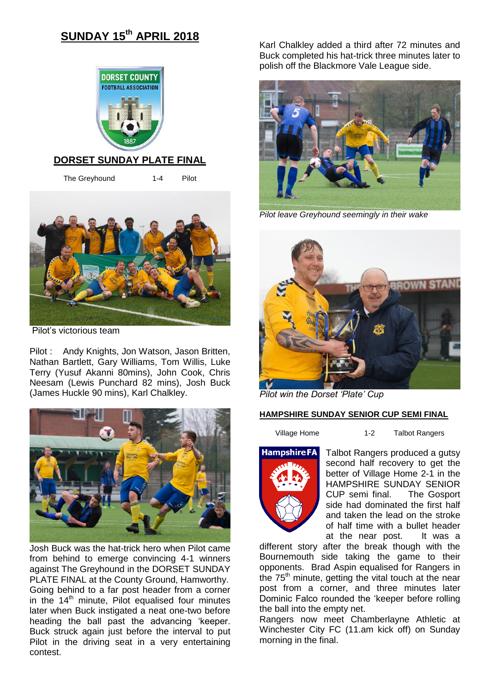# **SUNDAY 15th APRIL 2018**



### **DORSET SUNDAY PLATE FINAL**

The Greyhound 1-4 Pilot



Pilot's victorious team

Pilot : Andy Knights, Jon Watson, Jason Britten, Nathan Bartlett, Gary Williams, Tom Willis, Luke Terry (Yusuf Akanni 80mins), John Cook, Chris Neesam (Lewis Punchard 82 mins), Josh Buck (James Huckle 90 mins), Karl Chalkley.



Josh Buck was the hat-trick hero when Pilot came from behind to emerge convincing 4-1 winners against The Greyhound in the DORSET SUNDAY PLATE FINAL at the County Ground, Hamworthy. Going behind to a far post header from a corner in the  $14<sup>th</sup>$  minute. Pilot equalised four minutes later when Buck instigated a neat one-two before heading the ball past the advancing 'keeper. Buck struck again just before the interval to put Pilot in the driving seat in a very entertaining contest.

Karl Chalkley added a third after 72 minutes and Buck completed his hat-trick three minutes later to polish off the Blackmore Vale League side.



*Pilot leave Greyhound seemingly in their wake*



*Pilot win the Dorset 'Plate' Cup*

### **HAMPSHIRE SUNDAY SENIOR CUP SEMI FINAL**

Village Home **1-2** Talbot Rangers



Talbot Rangers produced a gutsy second half recovery to get the better of Village Home 2-1 in the HAMPSHIRE SUNDAY SENIOR CUP semi final. The Gosport side had dominated the first half and taken the lead on the stroke of half time with a bullet header at the near post. It was a

different story after the break though with the Bournemouth side taking the game to their opponents. Brad Aspin equalised for Rangers in the  $75<sup>th</sup>$  minute, getting the vital touch at the near post from a corner, and three minutes later Dominic Falco rounded the 'keeper before rolling the ball into the empty net.

Rangers now meet Chamberlayne Athletic at Winchester City FC (11.am kick off) on Sunday morning in the final.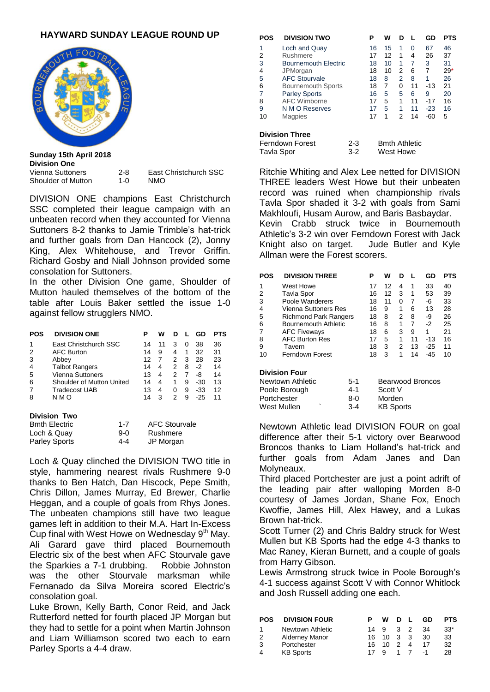## **HAYWARD SUNDAY LEAGUE ROUND UP**



**Sunday 15th April 2018 Division One** Vienna Suttoners 2-8 East Christchurch SSC Shoulder of Mutton 1-0 NMO

DIVISION ONE champions East Christchurch SSC completed their league campaign with an unbeaten record when they accounted for Vienna Suttoners 8-2 thanks to Jamie Trimble's hat-trick and further goals from Dan Hancock (2), Jonny King, Alex Whitehouse, and Trevor Griffin. Richard Gosby and Niall Johnson provided some consolation for Suttoners.

In the other Division One game, Shoulder of Mutton hauled themselves of the bottom of the table after Louis Baker settled the issue 1-0 against fellow strugglers NMO.

| POS            | <b>DIVISION ONE</b>       | Р  | w  | D             |   | GD    | PTS |
|----------------|---------------------------|----|----|---------------|---|-------|-----|
|                | East Christchurch SSC     | 14 | 11 | 3             | 0 | 38    | 36  |
| 2              | <b>AFC Burton</b>         | 14 | 9  | 4             | 1 | 32    | 31  |
| 3              | Abbey                     | 12 |    | $\mathcal{P}$ | 3 | 28    | 23  |
| $\overline{4}$ | <b>Talbot Rangers</b>     | 14 | 4  | 2             | 8 | -2    | 14  |
| 5              | Vienna Suttoners          | 13 | 4  | 2             | 7 | -8    | 14  |
| 6              | Shoulder of Mutton United | 14 | 4  | 1             | 9 | $-30$ | 13  |
|                | Tradecost UAB             | 13 | 4  | 0             | 9 | $-33$ | 12  |
| 8              | N M O                     | 14 | 3  | 2             | 9 | $-25$ | 11  |
|                |                           |    |    |               |   |       |     |

#### **Division Two**

| <b>Bmth Electric</b> | $1 - 7$ | <b>AFC Stourvale</b> |
|----------------------|---------|----------------------|
| Loch & Quay          | 9-0     | Rushmere             |
| <b>Parley Sports</b> | 4-4     | JP Morgan            |

Loch & Quay clinched the DIVISION TWO title in style, hammering nearest rivals Rushmere 9-0 thanks to Ben Hatch, Dan Hiscock, Pepe Smith, Chris Dillon, James Murray, Ed Brewer, Charlie Heggan, and a couple of goals from Rhys Jones. The unbeaten champions still have two league games left in addition to their M.A. Hart In-Excess Cup final with West Howe on Wednesday  $9<sup>th</sup>$  May. Ali Garard gave third placed Bournemouth Electric six of the best when AFC Stourvale gave the Sparkies a 7-1 drubbing. Robbie Johnston was the other Stourvale marksman while Fernanado da Silva Moreira scored Electric's consolation goal.

Luke Brown, Kelly Barth, Conor Reid, and Jack Rutterford netted for fourth placed JP Morgan but they had to settle for a point when Martin Johnson and Liam Williamson scored two each to earn Parley Sports a 4-4 draw.

| POS                   | <b>DIVISION TWO</b>         |         | Р  | w         | D |                      | GD    | <b>PTS</b> |
|-----------------------|-----------------------------|---------|----|-----------|---|----------------------|-------|------------|
| 1                     | Loch and Quay               |         | 16 | 15        | 1 | 0                    | 67    | 46         |
| 2                     | Rushmere                    |         | 17 | 12        | 1 | 4                    | 26    | 37         |
| 3                     | <b>Bournemouth Electric</b> |         | 18 | 10        | 1 | 7                    | 3     | 31         |
| 4                     | JPMorgan                    |         | 18 | 10        | 2 | 6                    | 7     | $29*$      |
| 5                     | <b>AFC Stourvale</b>        |         | 18 | 8         | 2 | 8                    | 1     | 26         |
| 6                     | <b>Bournemouth Sports</b>   |         | 18 | 7         | 0 | 11                   | $-13$ | 21         |
| 7                     | <b>Parley Sports</b>        |         | 16 | 5         | 5 | 6                    | 9     | 20         |
| 8                     | <b>AFC Wimborne</b>         |         | 17 | 5         | 1 | 11                   | $-17$ | 16         |
| 9                     | N M O Reserves              |         | 17 | 5         | 1 | 11                   | $-23$ | 16         |
| 10                    | Magpies                     |         | 17 | 1         | 2 | 14                   | $-60$ | 5          |
| <b>Division Three</b> |                             |         |    |           |   |                      |       |            |
|                       | Ferndown Forest             | $2 - 3$ |    |           |   | <b>Bmth Athletic</b> |       |            |
| Tavla Spor            |                             | $3-2$   |    | West Howe |   |                      |       |            |

Ritchie Whiting and Alex Lee netted for DIVISION THREE leaders West Howe but their unbeaten record was ruined when championship rivals Tavla Spor shaded it 3-2 with goals from Sami Makhloufi, Husam Aurow, and Baris Basbaydar. Kevin Crabb struck twice in Bournemouth Athletic's 3-2 win over Ferndown Forest with Jack Knight also on target. Jude Butler and Kyle Allman were the Forest scorers.

| <b>POS</b>                | <b>DIVISION THREE</b>        |                  | Р         | w  | D |    | GD    | <b>PTS</b> |
|---------------------------|------------------------------|------------------|-----------|----|---|----|-------|------------|
| 1                         | West Howe                    |                  | 17        | 12 | 4 | 1  | 33    | 40         |
| 2                         | Tavla Spor                   |                  | 16        | 12 | 3 | 1  | 53    | 39         |
| 3                         | Poole Wanderers              |                  | 18        | 11 | 0 | 7  | -6    | 33         |
| 4                         | Vienna Suttoners Res         |                  | 16        | 9  | 1 | 6  | 13    | 28         |
| 5                         | <b>Richmond Park Rangers</b> |                  | 18        | 8  | 2 | 8  | -9    | 26         |
| 6                         | Bournemouth Athletic         |                  | 16        | 8  | 1 | 7  | -2    | 25         |
| 7                         | <b>AFC Fiveways</b>          |                  | 18        | 6  | 3 | 9  | 1     | 21         |
| 8                         | <b>AFC Burton Res</b>        |                  | 17        | 5  | 1 | 11 | $-13$ | 16         |
| 9                         | Tavern                       |                  | 18        | 3  | 2 | 13 | $-25$ | 11         |
| 10                        | Ferndown Forest              |                  | 18        | 3  | 1 | 14 | $-45$ | 10         |
|                           | <b>Division Four</b>         |                  |           |    |   |    |       |            |
| Newtown Athletic<br>$5-1$ |                              | Bearwood Broncos |           |    |   |    |       |            |
|                           | Poole Borough                | $4 - 1$          | Scott V   |    |   |    |       |            |
| o o<br>Dortobootor.       |                              |                  | $M$ ordon |    |   |    |       |            |

Portchester 8-0 Morden West Mullen  $3-4$  KB Sports

Newtown Athletic lead DIVISION FOUR on goal difference after their 5-1 victory over Bearwood Broncos thanks to Liam Holland's hat-trick and further goals from Adam Janes and Dan Molyneaux.

Third placed Portchester are just a point adrift of the leading pair after walloping Morden 8-0 courtesy of James Jordan, Shane Fox, Enoch Kwoffie, James Hill, Alex Hawey, and a Lukas Brown hat-trick.

Scott Turner (2) and Chris Baldry struck for West Mullen but KB Sports had the edge 4-3 thanks to Mac Raney, Kieran Burnett, and a couple of goals from Harry Gibson.

Lewis Armstrong struck twice in Poole Borough's 4-1 success against Scott V with Connor Whitlock and Josh Russell adding one each.

| <b>POS</b> | <b>DIVISION FOUR</b>  |     | w                    | - D | GD  | <b>PTS</b> |
|------------|-----------------------|-----|----------------------|-----|-----|------------|
|            | Newtown Athletic      |     | 14 9                 | 3 2 | -34 | $33*$      |
| 2          | <b>Alderney Manor</b> | 16. | $10 \quad 3 \quad 3$ |     | 30  | 33         |
| 3          | Portchester           |     | 16 10 2              |     | 17  | 32         |
| 4          | <b>KB Sports</b>      |     |                      |     |     | 28         |